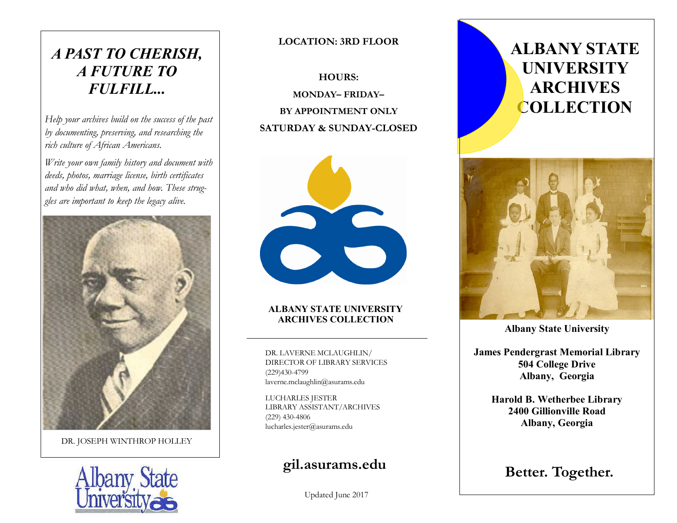## *A PAST TO CHERISH, A FUTURE TO FULFILL...*

*Help your archives build on the success of the past by documenting, preserving, and researching the rich culture of African Americans.* 

*Write your own family history and document with deeds, photos, marriage license, birth certificates and who did what, when, and how. These struggles are important to keep the legacy alive.* 



DR. JOSEPH WINTHROP HOLLEY



**LOCATION: 3RD FLOOR** 

**HOURS: MONDAY– FRIDAY– BY APPOINTMENT ONLY SATURDAY & SUNDAY-CLOSED** 



#### **ALBANY STATE UNIVERSITY ARCHIVES COLLECTION**

DR. LAVERNE MCLAUGHLIN/ DIRECTOR OF LIBRARY SERVICES (229)430-4799 laverne.mclaughlin@asurams.edu

LUCHARLES JESTER LIBRARY ASSISTANT/ARCHIVES (229) 430-4806 lucharles.jester@asurams.edu

## **gil.asurams.edu**

Updated June 2017

# **ALBANY STATE UNIVERSITY ARCHIVES COLLECTION**



**Albany State University** 

**James Pendergrast Memorial Library 504 College Drive Albany, Georgia**

**Harold B. Wetherbee Library 2400 Gillionville Road Albany, Georgia** 

**Better. Together.**